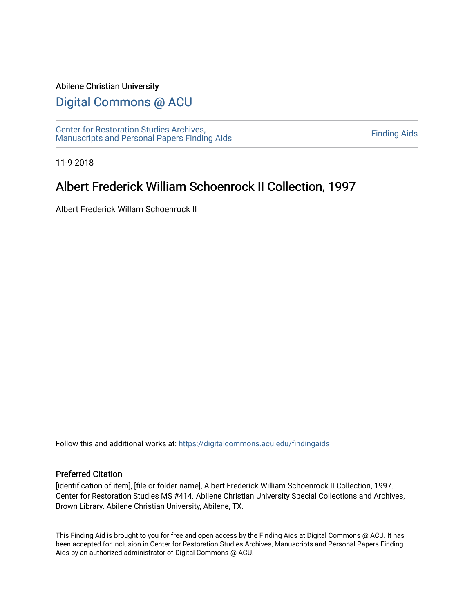#### Abilene Christian University

## [Digital Commons @ ACU](https://digitalcommons.acu.edu/)

[Center for Restoration Studies Archives,](https://digitalcommons.acu.edu/findingaids)  [Manuscripts and Personal Papers Finding Aids](https://digitalcommons.acu.edu/findingaids) [Finding Aids](https://digitalcommons.acu.edu/crs_finding_aids) 

11-9-2018

# Albert Frederick William Schoenrock II Collection, 1997

Albert Frederick Willam Schoenrock II

Follow this and additional works at: [https://digitalcommons.acu.edu/findingaids](https://digitalcommons.acu.edu/findingaids?utm_source=digitalcommons.acu.edu%2Ffindingaids%2F699&utm_medium=PDF&utm_campaign=PDFCoverPages)

#### Preferred Citation

[identification of item], [file or folder name], Albert Frederick William Schoenrock II Collection, 1997. Center for Restoration Studies MS #414. Abilene Christian University Special Collections and Archives, Brown Library. Abilene Christian University, Abilene, TX.

This Finding Aid is brought to you for free and open access by the Finding Aids at Digital Commons @ ACU. It has been accepted for inclusion in Center for Restoration Studies Archives, Manuscripts and Personal Papers Finding Aids by an authorized administrator of Digital Commons @ ACU.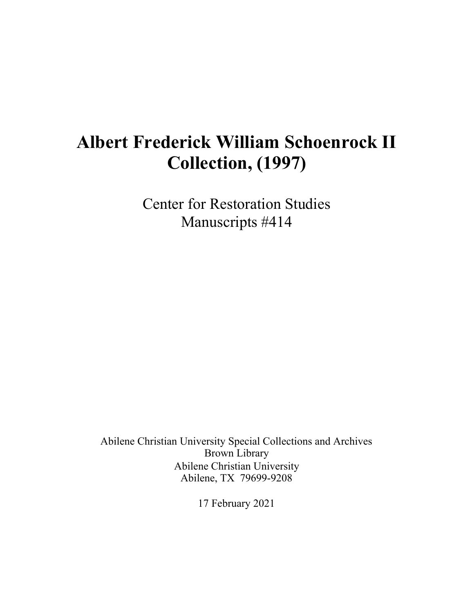# **Albert Frederick William Schoenrock II Collection, (1997)**

Center for Restoration Studies Manuscripts #414

Abilene Christian University Special Collections and Archives Brown Library Abilene Christian University Abilene, TX 79699-9208

17 February 2021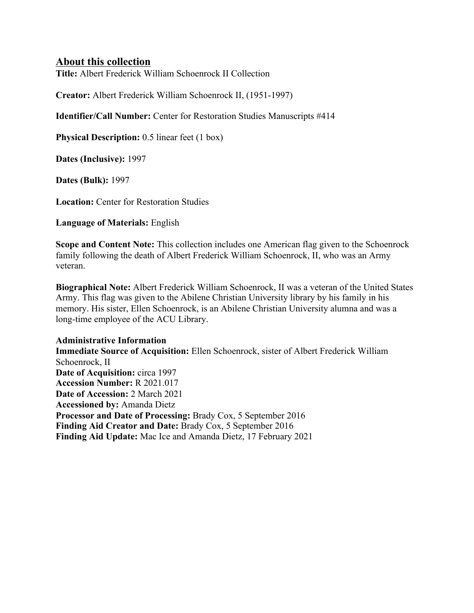## **About this collection**

**Title:** Albert Frederick William Schoenrock II Collection

**Creator:** Albert Frederick William Schoenrock II, (1951-1997)

**Identifier/Call Number:** Center for Restoration Studies Manuscripts #414

**Physical Description:** 0.5 linear feet (1 box)

**Dates (Inclusive):** 1997

**Dates (Bulk):** 1997

**Location:** Center for Restoration Studies

**Language of Materials:** English

**Scope and Content Note:** This collection includes one American flag given to the Schoenrock family following the death of Albert Frederick William Schoenrock, II, who was an Army veteran.

**Biographical Note:** Albert Frederick William Schoenrock, II was a veteran of the United States Army. This flag was given to the Abilene Christian University library by his family in his memory. His sister, Ellen Schoenrock, is an Abilene Christian University alumna and was a long-time employee of the ACU Library.

#### **Administrative Information**

**Immediate Source of Acquisition:** Ellen Schoenrock, sister of Albert Frederick William Schoenrock, II **Date of Acquisition:** circa 1997 **Accession Number:** R 2021.017 **Date of Accession:** 2 March 2021 **Accessioned by:** Amanda Dietz **Processor and Date of Processing:** Brady Cox, 5 September 2016 **Finding Aid Creator and Date:** Brady Cox, 5 September 2016 **Finding Aid Update:** Mac Ice and Amanda Dietz, 17 February 2021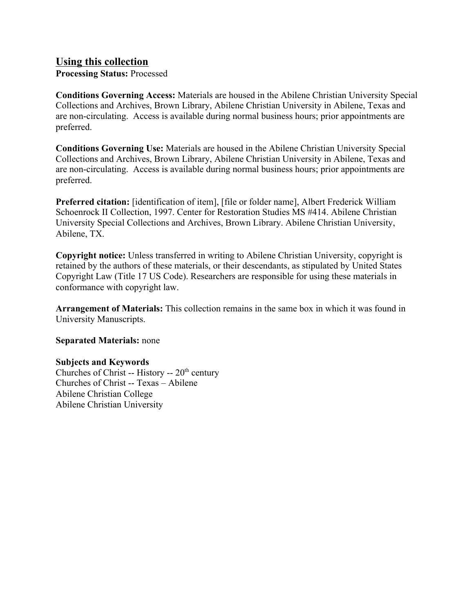## **Using this collection**

**Processing Status:** Processed

**Conditions Governing Access:** Materials are housed in the Abilene Christian University Special Collections and Archives, Brown Library, Abilene Christian University in Abilene, Texas and are non-circulating. Access is available during normal business hours; prior appointments are preferred.

**Conditions Governing Use:** Materials are housed in the Abilene Christian University Special Collections and Archives, Brown Library, Abilene Christian University in Abilene, Texas and are non-circulating. Access is available during normal business hours; prior appointments are preferred.

**Preferred citation:** [identification of item], [file or folder name], Albert Frederick William Schoenrock II Collection, 1997. Center for Restoration Studies MS #414. Abilene Christian University Special Collections and Archives, Brown Library. Abilene Christian University, Abilene, TX.

**Copyright notice:** Unless transferred in writing to Abilene Christian University, copyright is retained by the authors of these materials, or their descendants, as stipulated by United States Copyright Law (Title 17 US Code). Researchers are responsible for using these materials in conformance with copyright law.

**Arrangement of Materials:** This collection remains in the same box in which it was found in University Manuscripts.

**Separated Materials:** none

### **Subjects and Keywords**

Churches of Christ -- History --  $20<sup>th</sup>$  century Churches of Christ -- Texas – Abilene Abilene Christian College Abilene Christian University